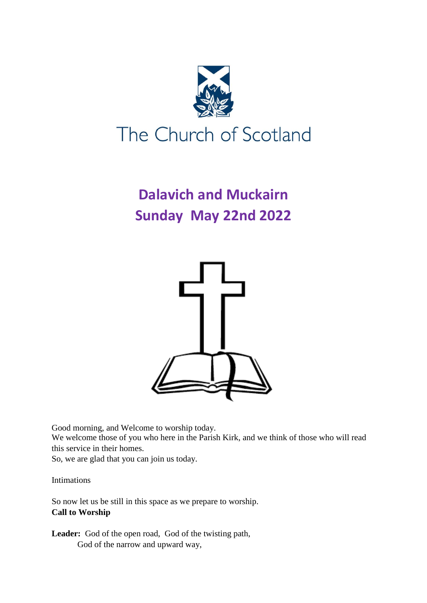

# **Dalavich and Muckairn Sunday May 22nd 2022**



Good morning, and Welcome to worship today. We welcome those of you who here in the Parish Kirk, and we think of those who will read this service in their homes. So, we are glad that you can join us today.

Intimations

So now let us be still in this space as we prepare to worship. **Call to Worship**

Leader: God of the open road, God of the twisting path, God of the narrow and upward way,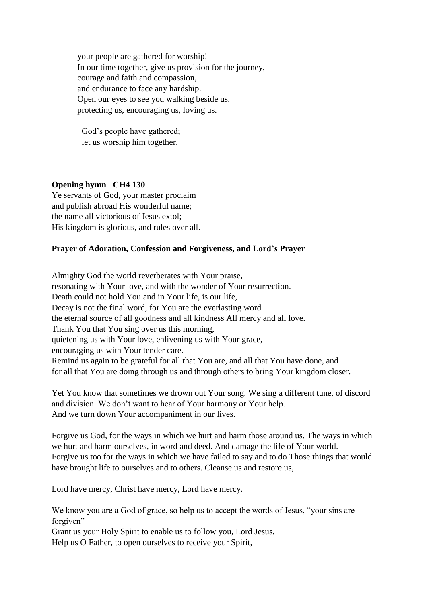your people are gathered for worship! In our time together, give us provision for the journey, courage and faith and compassion, and endurance to face any hardship. Open our eyes to see you walking beside us, protecting us, encouraging us, loving us.

 God's people have gathered; let us worship him together.

# **Opening hymn CH4 130**

Ye servants of God, your master proclaim and publish abroad His wonderful name; the name all victorious of Jesus extol; His kingdom is glorious, and rules over all.

#### **Prayer of Adoration, Confession and Forgiveness, and Lord's Prayer**

Almighty God the world reverberates with Your praise, resonating with Your love, and with the wonder of Your resurrection. Death could not hold You and in Your life, is our life, Decay is not the final word, for You are the everlasting word the eternal source of all goodness and all kindness All mercy and all love. Thank You that You sing over us this morning, quietening us with Your love, enlivening us with Your grace, encouraging us with Your tender care. Remind us again to be grateful for all that You are, and all that You have done, and for all that You are doing through us and through others to bring Your kingdom closer.

Yet You know that sometimes we drown out Your song. We sing a different tune, of discord and division. We don't want to hear of Your harmony or Your help. And we turn down Your accompaniment in our lives.

Forgive us God, for the ways in which we hurt and harm those around us. The ways in which we hurt and harm ourselves, in word and deed. And damage the life of Your world. Forgive us too for the ways in which we have failed to say and to do Those things that would have brought life to ourselves and to others. Cleanse us and restore us,

Lord have mercy, Christ have mercy, Lord have mercy.

We know you are a God of grace, so help us to accept the words of Jesus, "your sins are forgiven"

Grant us your Holy Spirit to enable us to follow you, Lord Jesus,

Help us O Father, to open ourselves to receive your Spirit,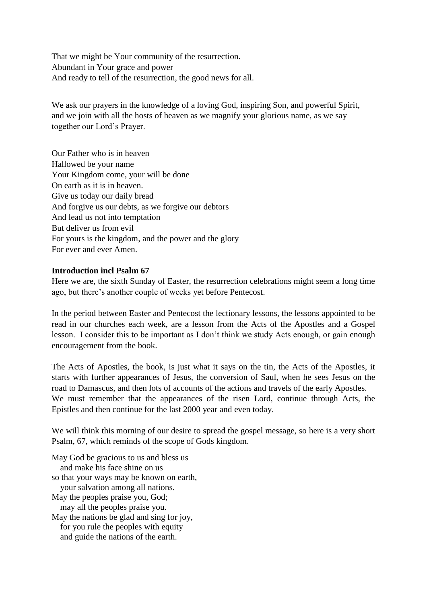That we might be Your community of the resurrection. Abundant in Your grace and power And ready to tell of the resurrection, the good news for all.

We ask our prayers in the knowledge of a loving God, inspiring Son, and powerful Spirit, and we join with all the hosts of heaven as we magnify your glorious name, as we say together our Lord's Prayer.

Our Father who is in heaven Hallowed be your name Your Kingdom come, your will be done On earth as it is in heaven. Give us today our daily bread And forgive us our debts, as we forgive our debtors And lead us not into temptation But deliver us from evil For yours is the kingdom, and the power and the glory For ever and ever Amen.

## **Introduction incl Psalm 67**

Here we are, the sixth Sunday of Easter, the resurrection celebrations might seem a long time ago, but there's another couple of weeks yet before Pentecost.

In the period between Easter and Pentecost the lectionary lessons, the lessons appointed to be read in our churches each week, are a lesson from the Acts of the Apostles and a Gospel lesson. I consider this to be important as I don't think we study Acts enough, or gain enough encouragement from the book.

The Acts of Apostles, the book, is just what it says on the tin, the Acts of the Apostles, it starts with further appearances of Jesus, the conversion of Saul, when he sees Jesus on the road to Damascus, and then lots of accounts of the actions and travels of the early Apostles. We must remember that the appearances of the risen Lord, continue through Acts, the Epistles and then continue for the last 2000 year and even today.

We will think this morning of our desire to spread the gospel message, so here is a very short Psalm, 67, which reminds of the scope of Gods kingdom.

May God be gracious to us and bless us and make his face shine on us so that your ways may be known on earth, your salvation among all nations. May the peoples praise you, God; may all the peoples praise you. May the nations be glad and sing for joy, for you rule the peoples with equity and guide the nations of the earth.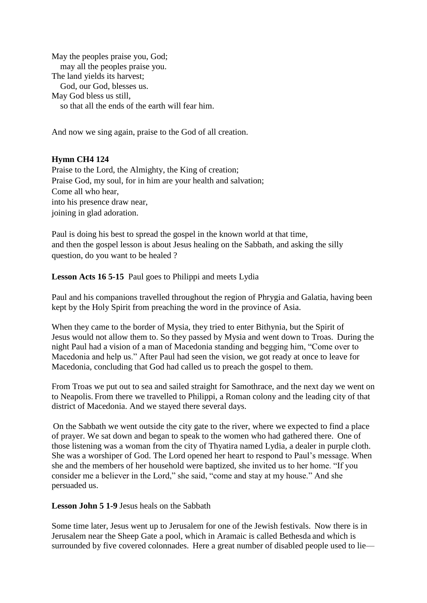May the peoples praise you, God; may all the peoples praise you. The land yields its harvest; God, our God, blesses us. May God bless us still, so that all the ends of the earth will fear him.

And now we sing again, praise to the God of all creation.

# **Hymn CH4 124**

Praise to the Lord, the Almighty, the King of creation; Praise God, my soul, for in him are your health and salvation; Come all who hear, into his presence draw near, joining in glad adoration.

Paul is doing his best to spread the gospel in the known world at that time, and then the gospel lesson is about Jesus healing on the Sabbath, and asking the silly question, do you want to be healed ?

**Lesson Acts 16 5-15** Paul goes to Philippi and meets Lydia

Paul and his companions travelled throughout the region of Phrygia and Galatia, having been kept by the Holy Spirit from preaching the word in the province of Asia.

When they came to the border of Mysia, they tried to enter Bithynia, but the Spirit of Jesus would not allow them to. So they passed by Mysia and went down to Troas. During the night Paul had a vision of a man of Macedonia standing and begging him, "Come over to Macedonia and help us." After Paul had seen the vision, we got ready at once to leave for Macedonia, concluding that God had called us to preach the gospel to them.

From Troas we put out to sea and sailed straight for Samothrace, and the next day we went on to Neapolis. From there we travelled to Philippi, a Roman colony and the leading city of that district of Macedonia. And we stayed there several days.

On the Sabbath we went outside the city gate to the river, where we expected to find a place of prayer. We sat down and began to speak to the women who had gathered there. One of those listening was a woman from the city of Thyatira named Lydia, a dealer in purple cloth. She was a worshiper of God. The Lord opened her heart to respond to Paul's message. When she and the members of her household were baptized, she invited us to her home. "If you consider me a believer in the Lord," she said, "come and stay at my house." And she persuaded us.

**Lesson John 5 1-9** Jesus heals on the Sabbath

Some time later, Jesus went up to Jerusalem for one of the Jewish festivals. Now there is in Jerusalem near the Sheep Gate a pool, which in Aramaic is called Bethesda and which is surrounded by five covered colonnades. Here a great number of disabled people used to lie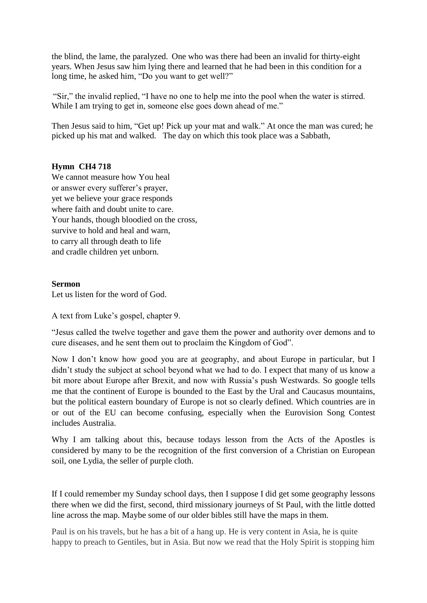the blind, the lame, the paralyzed. One who was there had been an invalid for thirty-eight years. When Jesus saw him lying there and learned that he had been in this condition for a long time, he asked him, "Do you want to get well?"

"Sir," the invalid replied, "I have no one to help me into the pool when the water is stirred. While I am trying to get in, someone else goes down ahead of me."

Then Jesus said to him, "Get up! Pick up your mat and walk." At once the man was cured; he picked up his mat and walked. The day on which this took place was a Sabbath,

#### **Hymn CH4 718**

We cannot measure how You heal or answer every sufferer's prayer, yet we believe your grace responds where faith and doubt unite to care. Your hands, though bloodied on the cross, survive to hold and heal and warn, to carry all through death to life and cradle children yet unborn.

#### **Sermon**

Let us listen for the word of God.

A text from Luke's gospel, chapter 9.

"Jesus called the twelve together and gave them the power and authority over demons and to cure diseases, and he sent them out to proclaim the Kingdom of God".

Now I don't know how good you are at geography, and about Europe in particular, but I didn't study the subject at school beyond what we had to do. I expect that many of us know a bit more about Europe after Brexit, and now with Russia's push Westwards. So google tells me that the continent of Europe is bounded to the East by the Ural and Caucasus mountains, but the political eastern boundary of Europe is not so clearly defined. Which countries are in or out of the EU can become confusing, especially when the Eurovision Song Contest includes Australia.

Why I am talking about this, because todays lesson from the Acts of the Apostles is considered by many to be the recognition of the first conversion of a Christian on European soil, one Lydia, the seller of purple cloth.

If I could remember my Sunday school days, then I suppose I did get some geography lessons there when we did the first, second, third missionary journeys of St Paul, with the little dotted line across the map. Maybe some of our older bibles still have the maps in them.

Paul is on his travels, but he has a bit of a hang up. He is very content in Asia, he is quite happy to preach to Gentiles, but in Asia. But now we read that the Holy Spirit is stopping him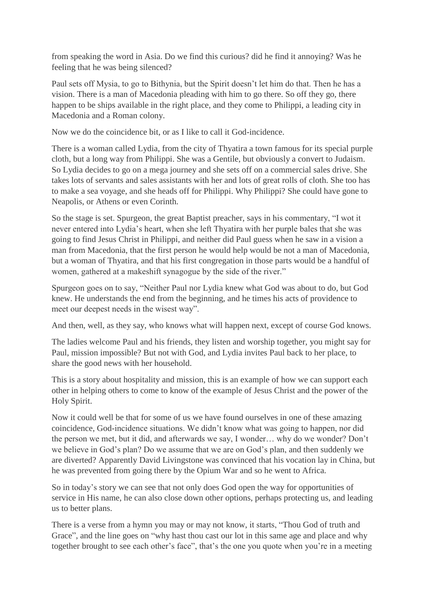from speaking the word in Asia. Do we find this curious? did he find it annoying? Was he feeling that he was being silenced?

Paul sets off Mysia, to go to Bithynia, but the Spirit doesn't let him do that. Then he has a vision. There is a man of Macedonia pleading with him to go there. So off they go, there happen to be ships available in the right place, and they come to Philippi, a leading city in Macedonia and a Roman colony.

Now we do the coincidence bit, or as I like to call it God-incidence.

There is a woman called Lydia, from the city of Thyatira a town famous for its special purple cloth, but a long way from Philippi. She was a Gentile, but obviously a convert to Judaism. So Lydia decides to go on a mega journey and she sets off on a commercial sales drive. She takes lots of servants and sales assistants with her and lots of great rolls of cloth. She too has to make a sea voyage, and she heads off for Philippi. Why Philippi? She could have gone to Neapolis, or Athens or even Corinth.

So the stage is set. Spurgeon, the great Baptist preacher, says in his commentary, "I wot it never entered into Lydia's heart, when she left Thyatira with her purple bales that she was going to find Jesus Christ in Philippi, and neither did Paul guess when he saw in a vision a man from Macedonia, that the first person he would help would be not a man of Macedonia, but a woman of Thyatira, and that his first congregation in those parts would be a handful of women, gathered at a makeshift synagogue by the side of the river."

Spurgeon goes on to say, "Neither Paul nor Lydia knew what God was about to do, but God knew. He understands the end from the beginning, and he times his acts of providence to meet our deepest needs in the wisest way".

And then, well, as they say, who knows what will happen next, except of course God knows.

The ladies welcome Paul and his friends, they listen and worship together, you might say for Paul, mission impossible? But not with God, and Lydia invites Paul back to her place, to share the good news with her household.

This is a story about hospitality and mission, this is an example of how we can support each other in helping others to come to know of the example of Jesus Christ and the power of the Holy Spirit.

Now it could well be that for some of us we have found ourselves in one of these amazing coincidence, God-incidence situations. We didn't know what was going to happen, nor did the person we met, but it did, and afterwards we say, I wonder… why do we wonder? Don't we believe in God's plan? Do we assume that we are on God's plan, and then suddenly we are diverted? Apparently David Livingstone was convinced that his vocation lay in China, but he was prevented from going there by the Opium War and so he went to Africa.

So in today's story we can see that not only does God open the way for opportunities of service in His name, he can also close down other options, perhaps protecting us, and leading us to better plans.

There is a verse from a hymn you may or may not know, it starts, "Thou God of truth and Grace", and the line goes on "why hast thou cast our lot in this same age and place and why together brought to see each other's face", that's the one you quote when you're in a meeting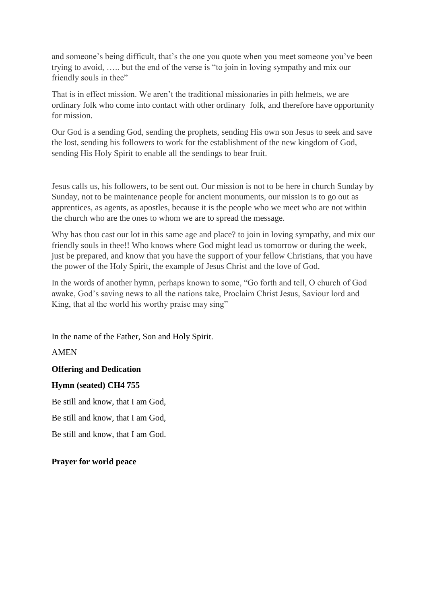and someone's being difficult, that's the one you quote when you meet someone you've been trying to avoid, ….. but the end of the verse is "to join in loving sympathy and mix our friendly souls in thee"

That is in effect mission. We aren't the traditional missionaries in pith helmets, we are ordinary folk who come into contact with other ordinary folk, and therefore have opportunity for mission.

Our God is a sending God, sending the prophets, sending His own son Jesus to seek and save the lost, sending his followers to work for the establishment of the new kingdom of God, sending His Holy Spirit to enable all the sendings to bear fruit.

Jesus calls us, his followers, to be sent out. Our mission is not to be here in church Sunday by Sunday, not to be maintenance people for ancient monuments, our mission is to go out as apprentices, as agents, as apostles, because it is the people who we meet who are not within the church who are the ones to whom we are to spread the message.

Why has thou cast our lot in this same age and place? to join in loving sympathy, and mix our friendly souls in thee!! Who knows where God might lead us tomorrow or during the week, just be prepared, and know that you have the support of your fellow Christians, that you have the power of the Holy Spirit, the example of Jesus Christ and the love of God.

In the words of another hymn, perhaps known to some, "Go forth and tell, O church of God awake, God's saving news to all the nations take, Proclaim Christ Jesus, Saviour lord and King, that al the world his worthy praise may sing"

In the name of the Father, Son and Holy Spirit.

AMEN

## **Offering and Dedication**

#### **Hymn (seated) CH4 755**

Be still and know, that I am God,

Be still and know, that I am God,

Be still and know, that I am God.

## **Prayer for world peace**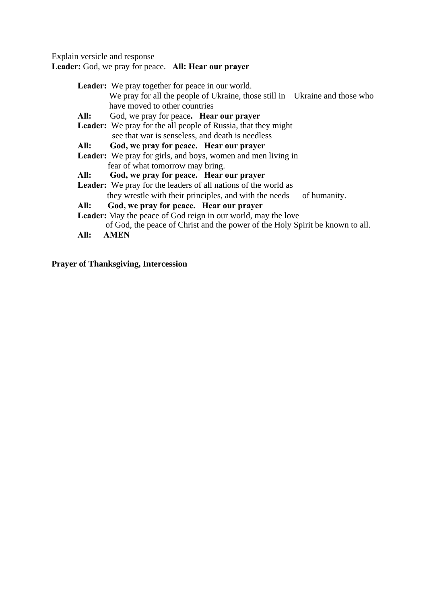Explain versicle and response

**Leader:** God, we pray for peace. **All: Hear our prayer**

| <b>Leader:</b> We pray together for peace in our world.                       |
|-------------------------------------------------------------------------------|
| We pray for all the people of Ukraine, those still in Ukraine and those who   |
| have moved to other countries                                                 |
| All:<br>God, we pray for peace. <b>Hear our prayer</b>                        |
| <b>Leader:</b> We pray for the all people of Russia, that they might          |
| see that war is senseless, and death is needless                              |
| All:<br>God, we pray for peace. Hear our prayer                               |
| Leader: We pray for girls, and boys, women and men living in                  |
| fear of what tomorrow may bring.                                              |
| God, we pray for peace. Hear our prayer<br>All:                               |
| <b>Leader:</b> We pray for the leaders of all nations of the world as         |
| they wrestle with their principles, and with the needs<br>of humanity.        |
| God, we pray for peace. Hear our prayer<br>All:                               |
| Leader: May the peace of God reign in our world, may the love                 |
| of God, the peace of Christ and the power of the Holy Spirit be known to all. |
| AMEN<br>All:                                                                  |
|                                                                               |

**Prayer of Thanksgiving, Intercession**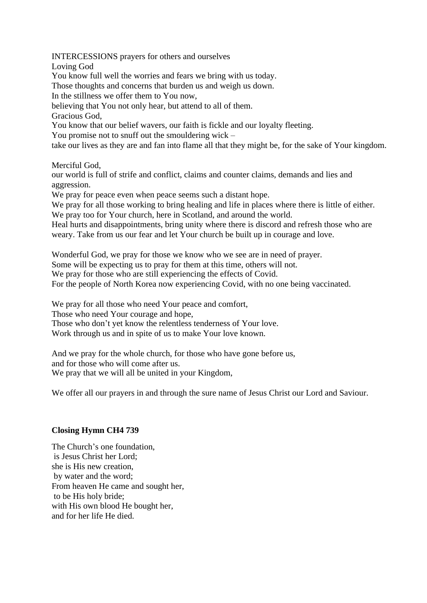INTERCESSIONS prayers for others and ourselves

Loving God

You know full well the worries and fears we bring with us today.

Those thoughts and concerns that burden us and weigh us down.

In the stillness we offer them to You now,

believing that You not only hear, but attend to all of them.

Gracious God,

You know that our belief wavers, our faith is fickle and our loyalty fleeting.

You promise not to snuff out the smouldering wick –

take our lives as they are and fan into flame all that they might be, for the sake of Your kingdom.

Merciful God,

our world is full of strife and conflict, claims and counter claims, demands and lies and aggression.

We pray for peace even when peace seems such a distant hope.

We pray for all those working to bring healing and life in places where there is little of either. We pray too for Your church, here in Scotland, and around the world.

Heal hurts and disappointments, bring unity where there is discord and refresh those who are weary. Take from us our fear and let Your church be built up in courage and love.

Wonderful God, we pray for those we know who we see are in need of prayer.

Some will be expecting us to pray for them at this time, others will not.

We pray for those who are still experiencing the effects of Covid.

For the people of North Korea now experiencing Covid, with no one being vaccinated.

We pray for all those who need Your peace and comfort,

Those who need Your courage and hope,

Those who don't yet know the relentless tenderness of Your love.

Work through us and in spite of us to make Your love known.

And we pray for the whole church, for those who have gone before us, and for those who will come after us. We pray that we will all be united in your Kingdom,

We offer all our prayers in and through the sure name of Jesus Christ our Lord and Saviour.

## **Closing Hymn CH4 739**

The Church's one foundation, is Jesus Christ her Lord; she is His new creation, by water and the word; From heaven He came and sought her, to be His holy bride; with His own blood He bought her. and for her life He died.